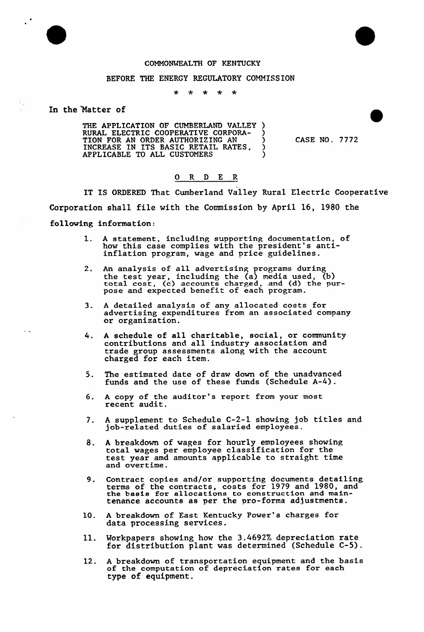

## BEFORE THE ENERGY REGULATORY COMMISSION

 $\star$  $\star$  $\star$  $\star$  $\star$ 

In the Natter of

 $\ddot{\phantom{0}}$ 

THE APPLICATION OF CUMBERLAND VALLEY ) RURAL ELECTRIC COOPERATIVE CORPORA- )<br>TION FOR AN ORDER AUTHORIZING AN TION FOR AN ORDER AUTHORIZING AN (1997) INCREASE IN ITS BASIC RETAIL RATES, ) APPLICABLE TO ALL CUSTOMERS  $)$ 

CASE NO. 7772

## 0 R <sup>D</sup> E R

IT IS ORDERED That Cumberland Valley Rural Electric Cooperative Corporation shall file vith the Commission by April 16, 1980 the following information:

- <sup>A</sup> statement, including supporting documentation, of  $\mathbf 1$ . how this case complies with the president's antiinflation program, wage and price guidelines.
- 2. An analysis of all advertising programs durin the test year, including the (a) media used, (b) total cost, (c) accounts charged, and (d) the purpose and expected benefit of each program.
- 3. <sup>A</sup> detailed analysis of any allocated costs for advertising expenditures from an associated company or organization.
- 4, <sup>A</sup> schedule of all charitable, social, or community contributions and all industry association and trade group assessments along with the account charged for each item.
- The estimated date of draw down of the unadvanced  $5.$ funds and the use of these funds (Schedule A-4).
- 6. <sup>A</sup> copy of the auditor's report from your most recent audit
- <sup>A</sup> supplement to Schedule C-2-1 showing job titles and job-related duties of salaried employees.  $7<sub>1</sub>$
- 8. <sup>A</sup> breakdown of vages fox hourly employees shoving total wages per employee classification fox the test year amd amounts applicable to straight time and overtime.
- Contract copies and/or supporting documents detailing  $\mathbf{q}$ terms of the contracts, costs for 1979 and 1980, and the basis for allocations to construction and main tenance accounts as per the pro-forma adjustment.
- 10. <sup>A</sup> breakdovn of East Kentucky Power's charges for data processing services.
- Workpapers showing how the 3.4692% depreciation rate  $11.$ for distribution plant was determined (Schedule C-5).
- 12. <sup>A</sup> breakdown of transportation equipment and the basis a breakdown or transportation equipment and the computation of depreciation rates for each type of equipment.